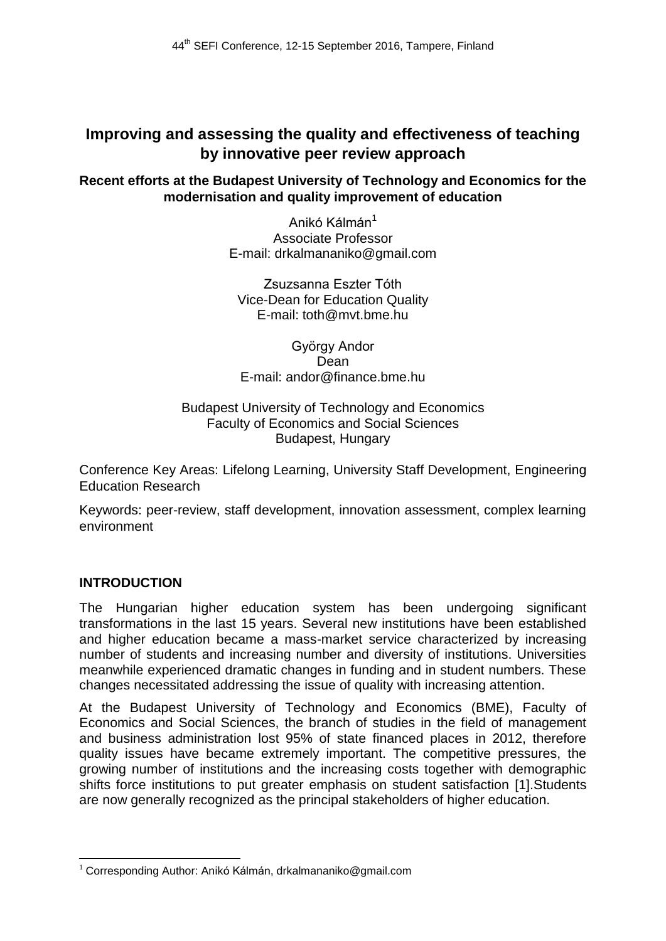# **Improving and assessing the quality and effectiveness of teaching by innovative peer review approach**

## **Recent efforts at the Budapest University of Technology and Economics for the modernisation and quality improvement of education**

Anikó Kálmán<sup>1</sup> Associate Professor E-mail: drkalmananiko@gmail.com

Zsuzsanna Eszter Tóth Vice-Dean for Education Quality E-mail: toth@mvt.bme.hu

György Andor Dean E-mail: andor@finance.bme.hu

#### Budapest University of Technology and Economics Faculty of Economics and Social Sciences Budapest, Hungary

Conference Key Areas: Lifelong Learning, University Staff Development, Engineering Education Research

Keywords: peer-review, staff development, innovation assessment, complex learning environment

## **INTRODUCTION**

The Hungarian higher education system has been undergoing significant transformations in the last 15 years. Several new institutions have been established and higher education became a mass-market service characterized by increasing number of students and increasing number and diversity of institutions. Universities meanwhile experienced dramatic changes in funding and in student numbers. These changes necessitated addressing the issue of quality with increasing attention.

At the Budapest University of Technology and Economics (BME), Faculty of Economics and Social Sciences, the branch of studies in the field of management and business administration lost 95% of state financed places in 2012, therefore quality issues have became extremely important. The competitive pressures, the growing number of institutions and the increasing costs together with demographic shifts force institutions to put greater emphasis on student satisfaction [1].Students are now generally recognized as the principal stakeholders of higher education.

 $\overline{a}$  $1$  Corresponding Author: Anikó Kálmán, drkalmananiko@gmail.com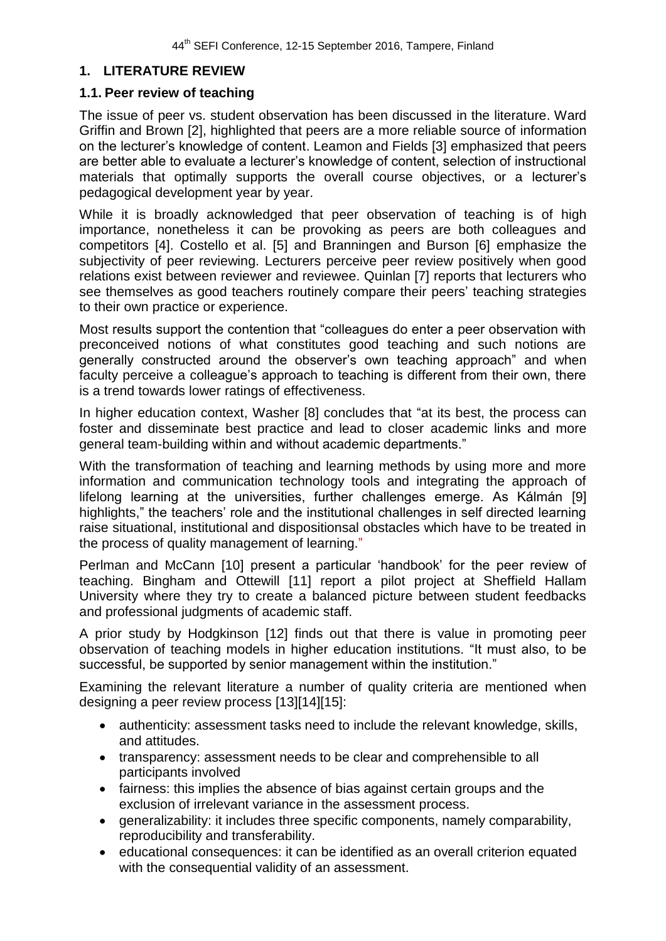#### **1. LITERATURE REVIEW**

#### **1.1. Peer review of teaching**

The issue of peer vs. student observation has been discussed in the literature. Ward Griffin and Brown [2], highlighted that peers are a more reliable source of information on the lecturer's knowledge of content. Leamon and Fields [3] emphasized that peers are better able to evaluate a lecturer's knowledge of content, selection of instructional materials that optimally supports the overall course objectives, or a lecturer's pedagogical development year by year.

While it is broadly acknowledged that peer observation of teaching is of high importance, nonetheless it can be provoking as peers are both colleagues and competitors [4]. Costello et al. [5] and Branningen and Burson [6] emphasize the subjectivity of peer reviewing. Lecturers perceive peer review positively when good relations exist between reviewer and reviewee. Quinlan [7] reports that lecturers who see themselves as good teachers routinely compare their peers' teaching strategies to their own practice or experience.

Most results support the contention that "colleagues do enter a peer observation with preconceived notions of what constitutes good teaching and such notions are generally constructed around the observer's own teaching approach" and when faculty perceive a colleague's approach to teaching is different from their own, there is a trend towards lower ratings of effectiveness.

In higher education context, Washer [8] concludes that "at its best, the process can foster and disseminate best practice and lead to closer academic links and more general team-building within and without academic departments."

With the transformation of teaching and learning methods by using more and more information and communication technology tools and integrating the approach of lifelong learning at the universities, further challenges emerge. As Kálmán [9] highlights," the teachers' role and the institutional challenges in self directed learning raise situational, institutional and dispositionsal obstacles which have to be treated in the process of quality management of learning."

Perlman and McCann [10] present a particular 'handbook' for the peer review of teaching. Bingham and Ottewill [11] report a pilot project at Sheffield Hallam University where they try to create a balanced picture between student feedbacks and professional judgments of academic staff.

A prior study by Hodgkinson [12] finds out that there is value in promoting peer observation of teaching models in higher education institutions. "It must also, to be successful, be supported by senior management within the institution."

Examining the relevant literature a number of quality criteria are mentioned when designing a peer review process [13][14][15]:

- authenticity: assessment tasks need to include the relevant knowledge, skills, and attitudes.
- transparency: assessment needs to be clear and comprehensible to all participants involved
- fairness: this implies the absence of bias against certain groups and the exclusion of irrelevant variance in the assessment process.
- generalizability: it includes three specific components, namely comparability, reproducibility and transferability.
- educational consequences: it can be identified as an overall criterion equated with the consequential validity of an assessment.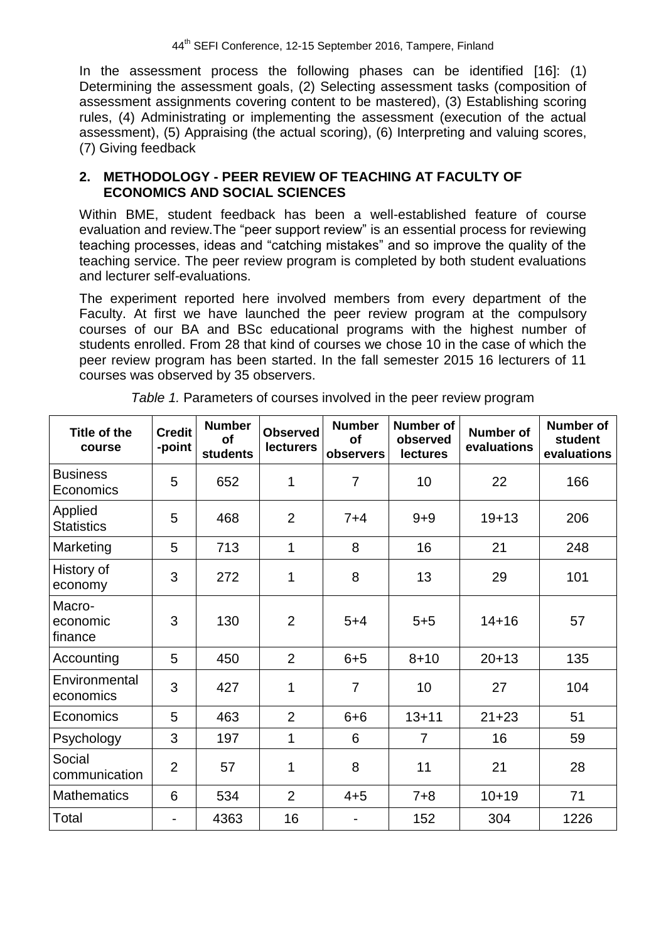In the assessment process the following phases can be identified [16]: (1) Determining the assessment goals, (2) Selecting assessment tasks (composition of assessment assignments covering content to be mastered), (3) Establishing scoring rules, (4) Administrating or implementing the assessment (execution of the actual assessment), (5) Appraising (the actual scoring), (6) Interpreting and valuing scores, (7) Giving feedback

#### **2. METHODOLOGY - PEER REVIEW OF TEACHING AT FACULTY OF ECONOMICS AND SOCIAL SCIENCES**

Within BME, student feedback has been a well-established feature of course evaluation and review.The "peer support review" is an essential process for reviewing teaching processes, ideas and "catching mistakes" and so improve the quality of the teaching service. The peer review program is completed by both student evaluations and lecturer self-evaluations.

The experiment reported here involved members from every department of the Faculty. At first we have launched the peer review program at the compulsory courses of our BA and BSc educational programs with the highest number of students enrolled. From 28 that kind of courses we chose 10 in the case of which the peer review program has been started. In the fall semester 2015 16 lecturers of 11 courses was observed by 35 observers.

| <b>Title of the</b><br>course | <b>Credit</b><br>-point | <b>Number</b><br><b>of</b><br><b>students</b> | <b>Observed</b><br><b>lecturers</b> | <b>Number</b><br>of<br>observers | <b>Number of</b><br>observed<br><b>lectures</b> | <b>Number of</b><br>evaluations | <b>Number of</b><br>student<br>evaluations |
|-------------------------------|-------------------------|-----------------------------------------------|-------------------------------------|----------------------------------|-------------------------------------------------|---------------------------------|--------------------------------------------|
| <b>Business</b><br>Economics  | 5                       | 652                                           | 1                                   | $\overline{7}$                   | 10                                              | 22                              | 166                                        |
| Applied<br><b>Statistics</b>  | 5                       | 468                                           | $\overline{2}$                      | $7 + 4$                          | $9 + 9$                                         | $19 + 13$                       |                                            |
| Marketing                     | 5                       | 713                                           | $\mathbf{1}$                        | 8                                | 16                                              | 21                              | 248                                        |
| History of<br>economy         | 3                       | 272                                           | 1                                   | 8                                | 13                                              | 29                              | 101                                        |
| Macro-<br>economic<br>finance | 3                       | 130                                           | $\overline{2}$                      | $5 + 4$                          | $5 + 5$                                         | $14 + 16$                       | 57                                         |
| Accounting                    | 5                       | 450                                           | $\overline{2}$                      | $6 + 5$                          | $8 + 10$                                        | $20 + 13$                       | 135                                        |
| Environmental<br>economics    | 3                       | 427                                           | 1                                   | $\overline{7}$                   | 10                                              | 27                              | 104                                        |
| Economics                     | 5                       | 463                                           | $\overline{2}$                      | $6 + 6$                          | $13 + 11$                                       | $21 + 23$                       | 51                                         |
| Psychology                    | 3                       | 197                                           | 1                                   | 6                                | $\overline{7}$                                  | 16                              | 59                                         |
| Social<br>communication       | $\overline{2}$          | 57                                            | 1                                   | 8                                | 11                                              | 21                              | 28                                         |
| <b>Mathematics</b>            | 6                       | 534                                           | $\overline{2}$                      | $4 + 5$                          | $7 + 8$                                         | $10 + 19$                       | 71                                         |
| Total                         | $\blacksquare$          | 4363                                          | 16                                  |                                  | 152                                             | 304                             | 1226                                       |

|  | Table 1. Parameters of courses involved in the peer review program |  |  |  |  |
|--|--------------------------------------------------------------------|--|--|--|--|
|  |                                                                    |  |  |  |  |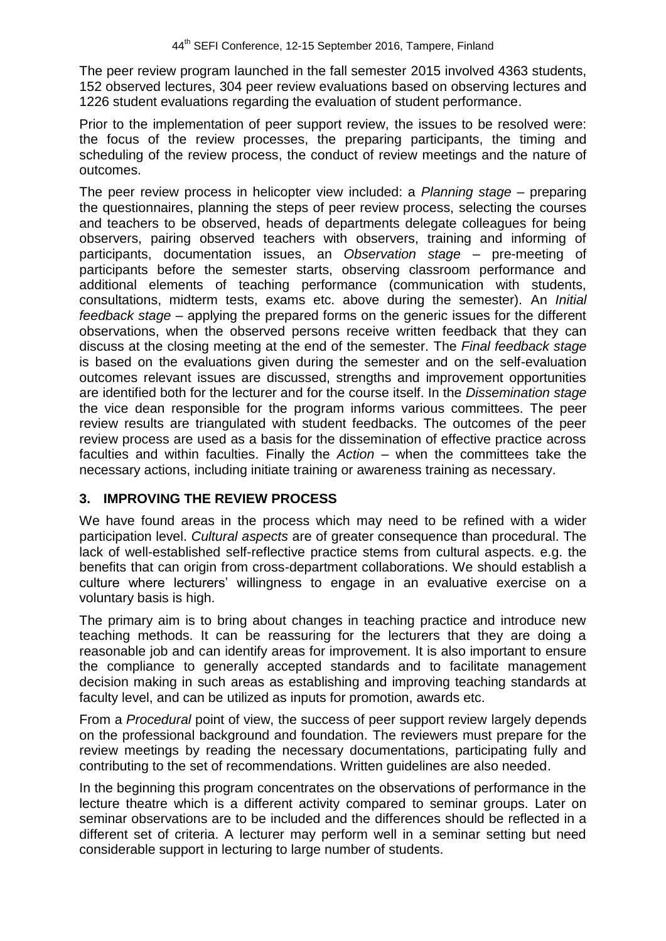The peer review program launched in the fall semester 2015 involved 4363 students, 152 observed lectures, 304 peer review evaluations based on observing lectures and 1226 student evaluations regarding the evaluation of student performance.

Prior to the implementation of peer support review, the issues to be resolved were: the focus of the review processes, the preparing participants, the timing and scheduling of the review process, the conduct of review meetings and the nature of outcomes.

The peer review process in helicopter view included: a *Planning stage* – preparing the questionnaires, planning the steps of peer review process, selecting the courses and teachers to be observed, heads of departments delegate colleagues for being observers, pairing observed teachers with observers, training and informing of participants, documentation issues, an *Observation stage –* pre-meeting of participants before the semester starts, observing classroom performance and additional elements of teaching performance (communication with students, consultations, midterm tests, exams etc. above during the semester). An *Initial feedback stage* – applying the prepared forms on the generic issues for the different observations, when the observed persons receive written feedback that they can discuss at the closing meeting at the end of the semester. The *Final feedback stage*  is based on the evaluations given during the semester and on the self-evaluation outcomes relevant issues are discussed, strengths and improvement opportunities are identified both for the lecturer and for the course itself. In the *Dissemination stage*  the vice dean responsible for the program informs various committees. The peer review results are triangulated with student feedbacks. The outcomes of the peer review process are used as a basis for the dissemination of effective practice across faculties and within faculties. Finally the *Action –* when the committees take the necessary actions, including initiate training or awareness training as necessary.

## **3. IMPROVING THE REVIEW PROCESS**

We have found areas in the process which may need to be refined with a wider participation level. *Cultural aspects* are of greater consequence than procedural. The lack of well-established self-reflective practice stems from cultural aspects. e.g. the benefits that can origin from cross-department collaborations. We should establish a culture where lecturers' willingness to engage in an evaluative exercise on a voluntary basis is high.

The primary aim is to bring about changes in teaching practice and introduce new teaching methods. It can be reassuring for the lecturers that they are doing a reasonable job and can identify areas for improvement. It is also important to ensure the compliance to generally accepted standards and to facilitate management decision making in such areas as establishing and improving teaching standards at faculty level, and can be utilized as inputs for promotion, awards etc.

From a *Procedural* point of view, the success of peer support review largely depends on the professional background and foundation. The reviewers must prepare for the review meetings by reading the necessary documentations, participating fully and contributing to the set of recommendations. Written guidelines are also needed.

In the beginning this program concentrates on the observations of performance in the lecture theatre which is a different activity compared to seminar groups. Later on seminar observations are to be included and the differences should be reflected in a different set of criteria. A lecturer may perform well in a seminar setting but need considerable support in lecturing to large number of students.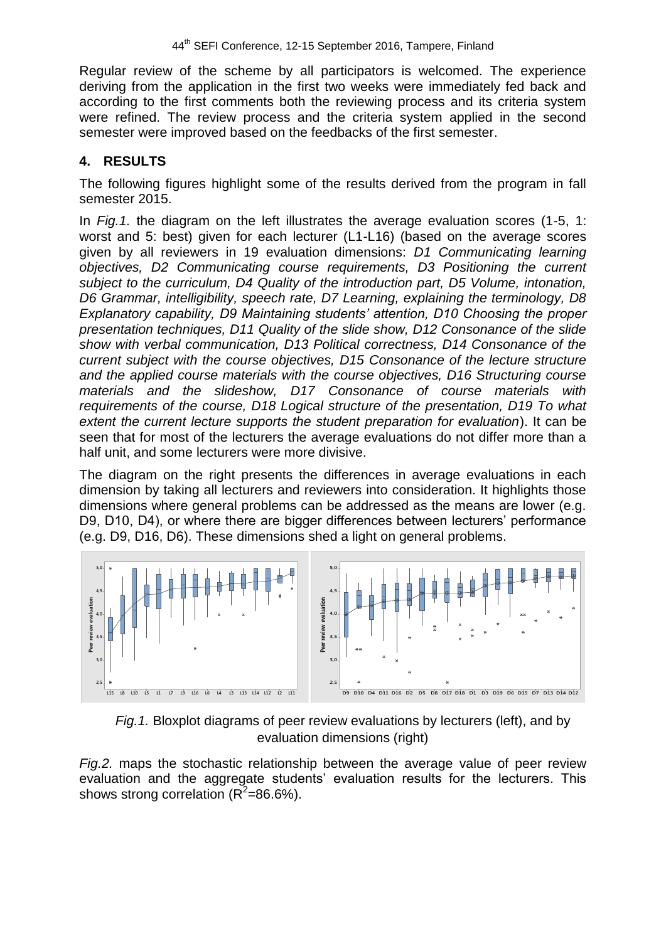Regular review of the scheme by all participators is welcomed. The experience deriving from the application in the first two weeks were immediately fed back and according to the first comments both the reviewing process and its criteria system were refined. The review process and the criteria system applied in the second semester were improved based on the feedbacks of the first semester.

## **4. RESULTS**

The following figures highlight some of the results derived from the program in fall semester 2015.

In *Fig.1.* the diagram on the left illustrates the average evaluation scores (1-5, 1: worst and 5: best) given for each lecturer (L1-L16) (based on the average scores given by all reviewers in 19 evaluation dimensions: *D1 Communicating learning objectives, D2 Communicating course requirements, D3 Positioning the current subject to the curriculum, D4 Quality of the introduction part, D5 Volume, intonation, D6 Grammar, intelligibility, speech rate, D7 Learning, explaining the terminology, D8 Explanatory capability, D9 Maintaining students' attention, D10 Choosing the proper presentation techniques, D11 Quality of the slide show, D12 Consonance of the slide show with verbal communication, D13 Political correctness, D14 Consonance of the current subject with the course objectives, D15 Consonance of the lecture structure and the applied course materials with the course objectives, D16 Structuring course materials and the slideshow, D17 Consonance of course materials with requirements of the course, D18 Logical structure of the presentation, D19 To what extent the current lecture supports the student preparation for evaluation*). It can be seen that for most of the lecturers the average evaluations do not differ more than a half unit, and some lecturers were more divisive.

The diagram on the right presents the differences in average evaluations in each dimension by taking all lecturers and reviewers into consideration. It highlights those dimensions where general problems can be addressed as the means are lower (e.g. D9, D10, D4), or where there are bigger differences between lecturers' performance (e.g. D9, D16, D6). These dimensions shed a light on general problems.





*Fig.2.* maps the stochastic relationship between the average value of peer review evaluation and the aggregate students' evaluation results for the lecturers. This shows strong correlation ( $R^2$ =86.6%).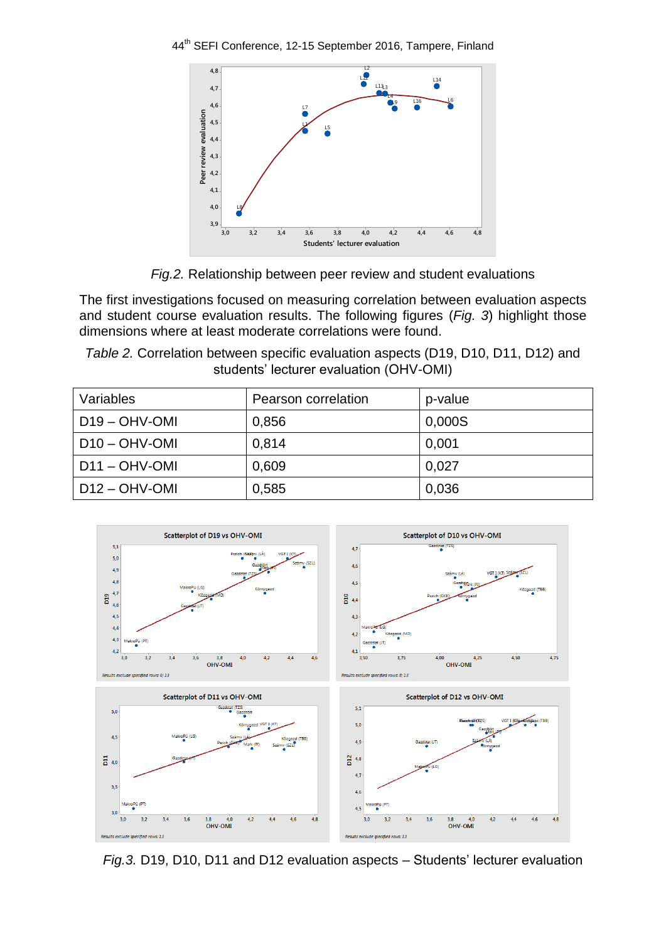44<sup>th</sup> SEFI Conference, 12-15 September 2016, Tampere, Finland



*Fig.2.* Relationship between peer review and student evaluations

The first investigations focused on measuring correlation between evaluation aspects and student course evaluation results. The following figures (*Fig. 3*) highlight those dimensions where at least moderate correlations were found.

*Table 2.* Correlation between specific evaluation aspects (D19, D10, D11, D12) and students' lecturer evaluation (OHV-OMI)

| Variables        | Pearson correlation | p-value |
|------------------|---------------------|---------|
| $D19 - OHV-OMI$  | 0,856               | 0,000S  |
| $D10 - OHV$ -OMI | 0,814               | 0.001   |
| $D11 - OHV-OMI$  | 0,609               | 0.027   |
| $D12 - OHV-OMI$  | 0,585               | 0,036   |



*Fig.3.* D19, D10, D11 and D12 evaluation aspects – Students' lecturer evaluation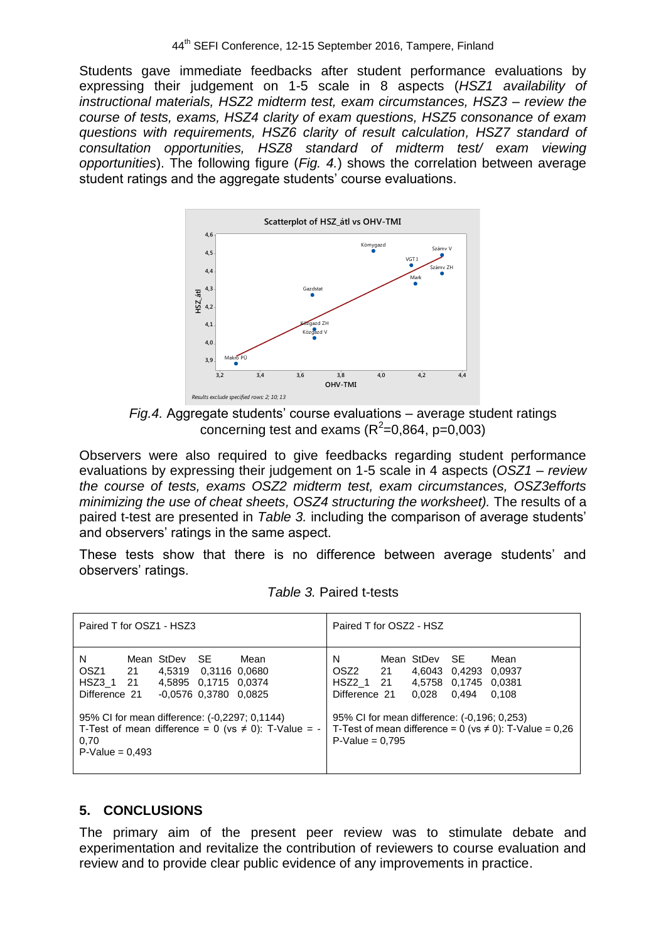Students gave immediate feedbacks after student performance evaluations by expressing their judgement on 1-5 scale in 8 aspects (*HSZ1 availability of instructional materials, HSZ2 midterm test, exam circumstances, HSZ3 – review the course of tests, exams, HSZ4 clarity of exam questions, HSZ5 consonance of exam questions with requirements, HSZ6 clarity of result calculation, HSZ7 standard of consultation opportunities, HSZ8 standard of midterm test/ exam viewing opportunities*). The following figure (*Fig. 4.*) shows the correlation between average student ratings and the aggregate students' course evaluations.



*Fig.4.* Aggregate students' course evaluations – average student ratings concerning test and exams ( $R^2$ =0,864, p=0,003)

Observers were also required to give feedbacks regarding student performance evaluations by expressing their judgement on 1-5 scale in 4 aspects (*OSZ1 – review the course of tests, exams OSZ2 midterm test, exam circumstances, OSZ3efforts minimizing the use of cheat sheets, OSZ4 structuring the worksheet).* The results of a paired t-test are presented in *Table 3.* including the comparison of average students' and observers' ratings in the same aspect.

These tests show that there is no difference between average students' and observers' ratings.

| Paired T for OSZ1 - HSZ3                                                |  |               |                                                                         | Paired T for OSZ2 - HSZ                                                                                             |                                                                                                                |  |                                  |                                         |                                                                                        |
|-------------------------------------------------------------------------|--|---------------|-------------------------------------------------------------------------|---------------------------------------------------------------------------------------------------------------------|----------------------------------------------------------------------------------------------------------------|--|----------------------------------|-----------------------------------------|----------------------------------------------------------------------------------------|
| N<br>OSZ1 21<br>HSZ3_1 21<br>Difference 21<br>0,70<br>$P-Value = 0.493$ |  | Mean StDev SE | 4,5319 0,3116 0,0680<br>4,5895 0,1715 0,0374<br>$-0,0576$ 0,3780 0,0825 | Mean<br>95% CI for mean difference: (-0,2297; 0,1144)<br>T-Test of mean difference = $0$ (vs $\neq$ 0): T-Value = - | N<br>OSZ2 21<br>HSZ2 1 21<br>Difference 21<br>95% CI for mean difference: (-0,196; 0,253)<br>$P-Value = 0.795$ |  | Mean StDev SE<br>4.6043<br>0.028 | 0.4293<br>4,5758 0,1745 0,0381<br>0.494 | Mean<br>0.0937<br>0.108<br>T-Test of mean difference = 0 (vs $\neq$ 0): T-Value = 0,26 |

## **5. CONCLUSIONS**

The primary aim of the present peer review was to stimulate debate and experimentation and revitalize the contribution of reviewers to course evaluation and review and to provide clear public evidence of any improvements in practice.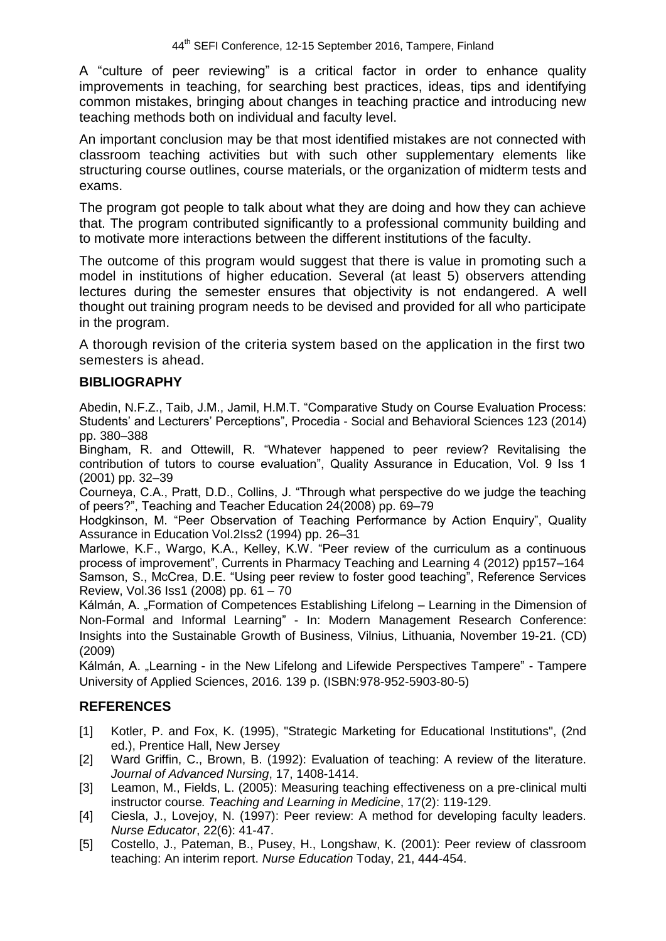A "culture of peer reviewing" is a critical factor in order to enhance quality improvements in teaching, for searching best practices, ideas, tips and identifying common mistakes, bringing about changes in teaching practice and introducing new teaching methods both on individual and faculty level.

An important conclusion may be that most identified mistakes are not connected with classroom teaching activities but with such other supplementary elements like structuring course outlines, course materials, or the organization of midterm tests and exams.

The program got people to talk about what they are doing and how they can achieve that. The program contributed significantly to a professional community building and to motivate more interactions between the different institutions of the faculty.

The outcome of this program would suggest that there is value in promoting such a model in institutions of higher education. Several (at least 5) observers attending lectures during the semester ensures that objectivity is not endangered. A well thought out training program needs to be devised and provided for all who participate in the program.

A thorough revision of the criteria system based on the application in the first two semesters is ahead.

#### **BIBLIOGRAPHY**

Abedin, N.F.Z., Taib, J.M., Jamil, H.M.T. "Comparative Study on Course Evaluation Process: Students' and Lecturers' Perceptions", Procedia - Social and Behavioral Sciences 123 (2014) pp. 380–388

Bingham, R. and Ottewill, R. "Whatever happened to peer review? Revitalising the contribution of tutors to course evaluation", Quality Assurance in Education, Vol. 9 Iss 1 (2001) pp. 32–39

Courneya, C.A., Pratt, D.D., Collins, J. "Through what perspective do we judge the teaching of peers?", Teaching and Teacher Education 24(2008) pp. 69–79

Hodgkinson, M. "Peer Observation of Teaching Performance by Action Enquiry", Quality Assurance in Education Vol.2Iss2 (1994) pp. 26–31

Marlowe, K.F., Wargo, K.A., Kelley, K.W. "Peer review of the curriculum as a continuous process of improvement", Currents in Pharmacy Teaching and Learning 4 (2012) pp157–164 Samson, S., McCrea, D.E. "Using peer review to foster good teaching", Reference Services Review, Vol.36 Iss1 (2008) pp. 61 – 70

Kálmán, A. "Formation of Competences Establishing Lifelong – Learning in the Dimension of Non-Formal and Informal Learning" - In: Modern Management Research Conference: Insights into the Sustainable Growth of Business, Vilnius, Lithuania, November 19-21. (CD) (2009)

Kálmán, A. "Learning - in the New Lifelong and Lifewide Perspectives Tampere" - Tampere University of Applied Sciences, 2016. 139 p. (ISBN:978-952-5903-80-5)

## **REFERENCES**

- [1] Kotler, P. and Fox, K. (1995), "Strategic Marketing for Educational Institutions", (2nd ed.), Prentice Hall, New Jersey
- [2] Ward Griffin, C., Brown, B. (1992): Evaluation of teaching: A review of the literature. *Journal of Advanced Nursing*, 17, 1408-1414.
- [3] Leamon, M., Fields, L. (2005): Measuring teaching effectiveness on a pre-clinical multi instructor course*. Teaching and Learning in Medicine*, 17(2): 119-129.
- [4] Ciesla, J., Lovejoy, N. (1997): Peer review: A method for developing faculty leaders. *Nurse Educator*, 22(6): 41-47.
- [5] Costello, J., Pateman, B., Pusey, H., Longshaw, K. (2001): Peer review of classroom teaching: An interim report. *Nurse Education* Today, 21, 444-454.